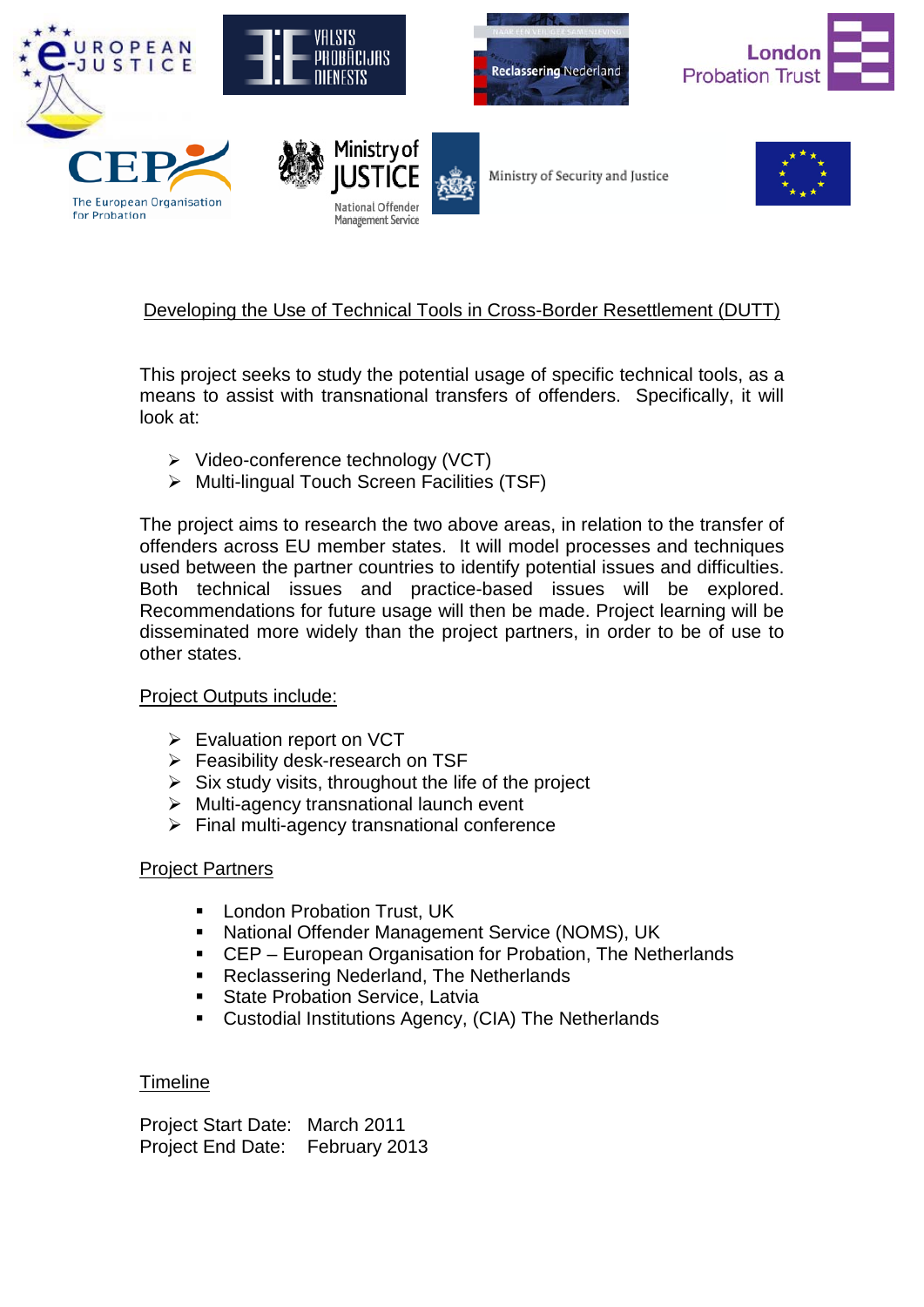











# Developing the Use of Technical Tools in Cross-Border Resettlement (DUTT)

This project seeks to study the potential usage of specific technical tools, as a means to assist with transnational transfers of offenders. Specifically, it will look at:

- $\triangleright$  Video-conference technology (VCT)
- $\triangleright$  Multi-lingual Touch Screen Facilities (TSF)

The project aims to research the two above areas, in relation to the transfer of offenders across EU member states. It will model processes and techniques used between the partner countries to identify potential issues and difficulties. Both technical issues and practice-based issues will be explored. Recommendations for future usage will then be made. Project learning will be disseminated more widely than the project partners, in order to be of use to other states.

### Project Outputs include:

- Evaluation report on VCT
- $\triangleright$  Feasibility desk-research on TSF
- $\triangleright$  Six study visits, throughout the life of the project
- $\triangleright$  Multi-agency transnational launch event
- $\triangleright$  Final multi-agency transnational conference

### Project Partners

- London Probation Trust, UK
- National Offender Management Service (NOMS), UK
- CEP European Organisation for Probation, The Netherlands
- Reclassering Nederland, The Netherlands
- **State Probation Service, Latvia**
- Custodial Institutions Agency, (CIA) The Netherlands

## Timeline

Project Start Date: March 2011 Project End Date: February 2013